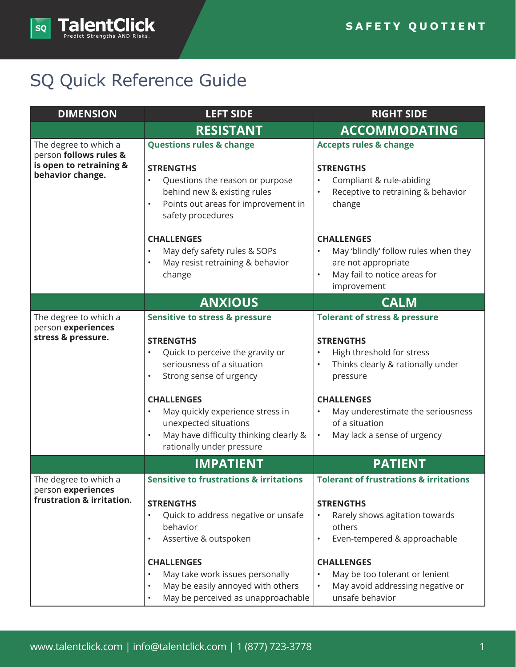

## SQ Quick Reference Guide

| <b>DIMENSION</b>                                                                               | <b>LEFT SIDE</b>                                                                                                                                                                                                                                                                                                                                           | <b>RIGHT SIDE</b>                                                                                                                                                                                                                                                                                                   |
|------------------------------------------------------------------------------------------------|------------------------------------------------------------------------------------------------------------------------------------------------------------------------------------------------------------------------------------------------------------------------------------------------------------------------------------------------------------|---------------------------------------------------------------------------------------------------------------------------------------------------------------------------------------------------------------------------------------------------------------------------------------------------------------------|
|                                                                                                | <b>RESISTANT</b>                                                                                                                                                                                                                                                                                                                                           | <b>ACCOMMODATING</b>                                                                                                                                                                                                                                                                                                |
| The degree to which a<br>person follows rules &<br>is open to retraining &<br>behavior change. | <b>Questions rules &amp; change</b><br><b>STRENGTHS</b><br>Questions the reason or purpose<br>behind new & existing rules<br>Points out areas for improvement in<br>$\bullet$<br>safety procedures                                                                                                                                                         | <b>Accepts rules &amp; change</b><br><b>STRENGTHS</b><br>Compliant & rule-abiding<br>Receptive to retraining & behavior<br>$\bullet$<br>change                                                                                                                                                                      |
|                                                                                                | <b>CHALLENGES</b><br>May defy safety rules & SOPs<br>May resist retraining & behavior<br>$\bullet$<br>change                                                                                                                                                                                                                                               | <b>CHALLENGES</b><br>May 'blindly' follow rules when they<br>are not appropriate<br>May fail to notice areas for<br>$\bullet$<br>improvement                                                                                                                                                                        |
|                                                                                                | <b>ANXIOUS</b>                                                                                                                                                                                                                                                                                                                                             | <b>CALM</b>                                                                                                                                                                                                                                                                                                         |
| The degree to which a<br>person experiences<br>stress & pressure.                              | <b>Sensitive to stress &amp; pressure</b><br><b>STRENGTHS</b><br>Quick to perceive the gravity or<br>seriousness of a situation<br>Strong sense of urgency<br>$\bullet$<br><b>CHALLENGES</b><br>May quickly experience stress in<br>$\bullet$<br>unexpected situations<br>May have difficulty thinking clearly &<br>$\bullet$<br>rationally under pressure | <b>Tolerant of stress &amp; pressure</b><br><b>STRENGTHS</b><br>High threshold for stress<br>Thinks clearly & rationally under<br>$\bullet$<br>pressure<br><b>CHALLENGES</b><br>$\bullet$<br>May underestimate the seriousness<br>of a situation<br>May lack a sense of urgency<br>٠                                |
|                                                                                                | <b>IMPATIENT</b>                                                                                                                                                                                                                                                                                                                                           | <b>PATIENT</b>                                                                                                                                                                                                                                                                                                      |
| The degree to which a<br>person experiences<br>frustration & irritation.                       | <b>Sensitive to frustrations &amp; irritations</b><br><b>STRENGTHS</b><br>Quick to address negative or unsafe<br>$\bullet$<br>behavior<br>Assertive & outspoken<br>$\bullet$<br><b>CHALLENGES</b><br>May take work issues personally<br>$\bullet$<br>May be easily annoyed with others<br>$\bullet$<br>May be perceived as unapproachable<br>$\bullet$     | <b>Tolerant of frustrations &amp; irritations</b><br><b>STRENGTHS</b><br>Rarely shows agitation towards<br>$\bullet$<br>others<br>Even-tempered & approachable<br>$\bullet$<br><b>CHALLENGES</b><br>May be too tolerant or lenient<br>$\bullet$<br>May avoid addressing negative or<br>$\bullet$<br>unsafe behavior |